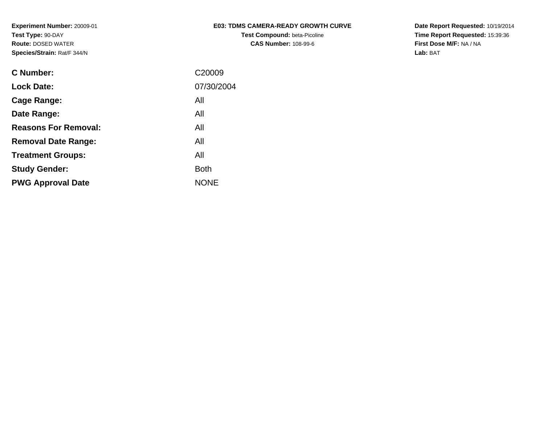| <b>E03: TDMS CAMERA-READY GROWTH CURVE</b> |
|--------------------------------------------|
| <b>Test Compound: beta-Picoline</b>        |
| <b>CAS Number: 108-99-6</b>                |

| <b>C Number:</b>            | C20009      |
|-----------------------------|-------------|
| <b>Lock Date:</b>           | 07/30/2004  |
| <b>Cage Range:</b>          | All         |
| Date Range:                 | All         |
| <b>Reasons For Removal:</b> | All         |
| <b>Removal Date Range:</b>  | All         |
| <b>Treatment Groups:</b>    | All         |
| <b>Study Gender:</b>        | <b>Both</b> |
| <b>PWG Approval Date</b>    | <b>NONE</b> |
|                             |             |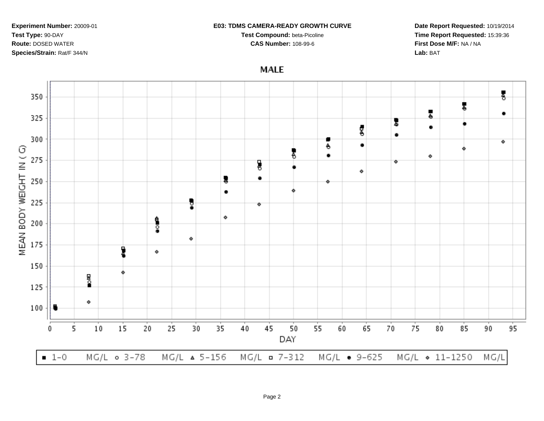#### **E03: TDMS CAMERA-READY GROWTH CURVE**

**Test Compound:** beta-Picoline

**CAS Number:** 108-99-6



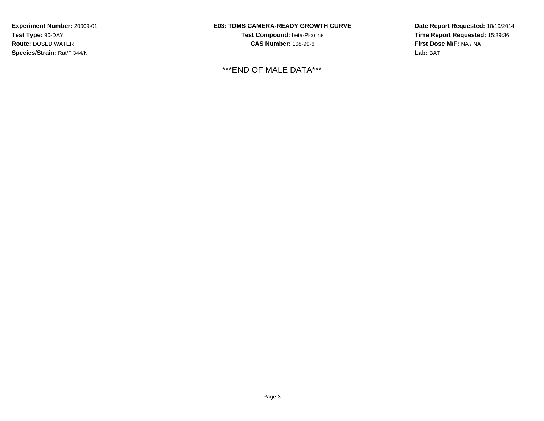## **E03: TDMS CAMERA-READY GROWTH CURVE**

**Test Compound:** beta-Picoline**CAS Number:** 108-99-6

# \*\*\*END OF MALE DATA\*\*\*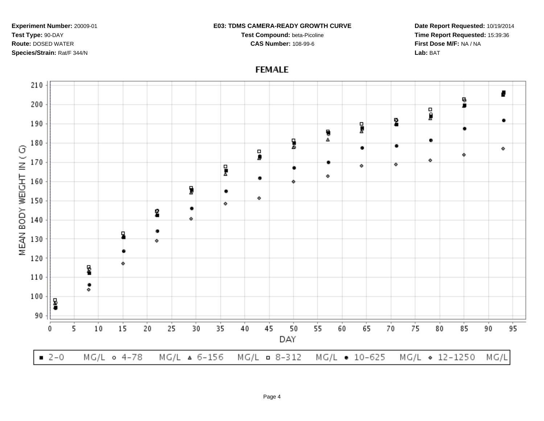#### **E03: TDMS CAMERA-READY GROWTH CURVE**

**Test Compound:** beta-Picoline**CAS Number:** 108-99-6

**Date Report Requested:** 10/19/2014**Time Report Requested:** 15:39:36**First Dose M/F:** NA / NA**Lab:** BAT

# **FEMALE**